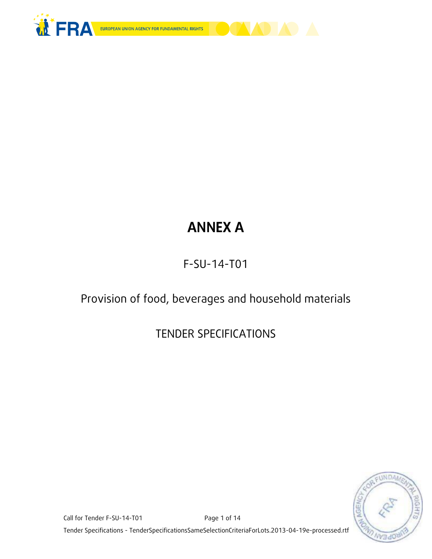



# **ANNEX A**

## F-SU-14-T01

## Provision of food, beverages and household materials

## TENDER SPECIFICATIONS

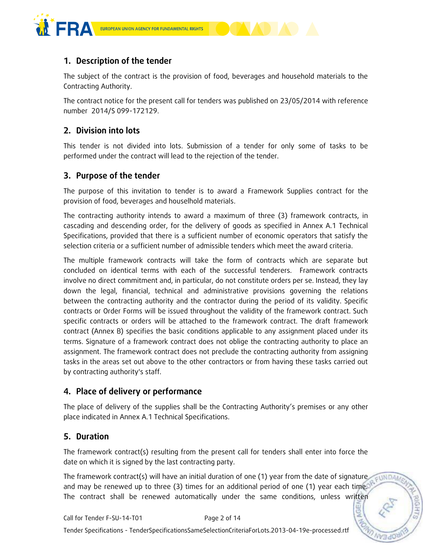

## **1. Description of the tender**

The subject of the contract is the provision of food, beverages and household materials to the Contracting Authority.

The contract notice for the present call for tenders was published on 23/05/2014 with reference number 2014/S 099-172129.

## **2. Division into lots**

This tender is not divided into lots. Submission of a tender for only some of tasks to be performed under the contract will lead to the rejection of the tender.

## **3. Purpose of the tender**

The purpose of this invitation to tender is to award a Framework Supplies contract for the provision of food, beverages and houselhold materials.

The contracting authority intends to award a maximum of three (3) framework contracts, in cascading and descending order, for the delivery of goods as specified in Annex A.1 Technical Specifications, provided that there is a sufficient number of economic operators that satisfy the selection criteria or a sufficient number of admissible tenders which meet the award criteria.

The multiple framework contracts will take the form of contracts which are separate but concluded on identical terms with each of the successful tenderers. Framework contracts involve no direct commitment and, in particular, do not constitute orders per se. Instead, they lay down the legal, financial, technical and administrative provisions governing the relations between the contracting authority and the contractor during the period of its validity. Specific contracts or Order Forms will be issued throughout the validity of the framework contract. Such specific contracts or orders will be attached to the framework contract. The draft framework contract (Annex B) specifies the basic conditions applicable to any assignment placed under its terms. Signature of a framework contract does not oblige the contracting authority to place an assignment. The framework contract does not preclude the contracting authority from assigning tasks in the areas set out above to the other contractors or from having these tasks carried out by contracting authority's staff.

## **4. Place of delivery or performance**

The place of delivery of the supplies shall be the Contracting Authority's premises or any other place indicated in Annex A.1 Technical Specifications.

## **5. Duration**

The framework contract(s) resulting from the present call for tenders shall enter into force the date on which it is signed by the last contracting party.

The framework contract(s) will have an initial duration of one (1) year from the date of signature EUNDAN and may be renewed up to three (3) times for an additional period of one (1) year each time. The contract shall be renewed automatically under the same conditions, unless written

**NGE**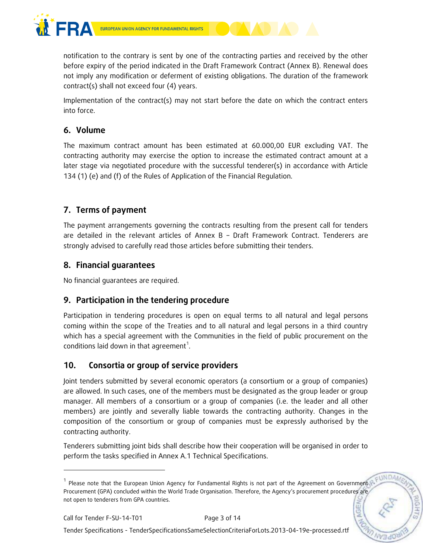

notification to the contrary is sent by one of the contracting parties and received by the other before expiry of the period indicated in the Draft Framework Contract (Annex B). Renewal does not imply any modification or deferment of existing obligations. The duration of the framework contract(s) shall not exceed four (4) years.

Implementation of the contract(s) may not start before the date on which the contract enters into force.

## **6. Volume**

The maximum contract amount has been estimated at 60.000,00 EUR excluding VAT. The contracting authority may exercise the option to increase the estimated contract amount at a later stage via negotiated procedure with the successful tenderer(s) in accordance with Article 134 (1) (e) and (f) of the Rules of Application of the Financial Regulation.

## **7. Terms of payment**

The payment arrangements governing the contracts resulting from the present call for tenders are detailed in the relevant articles of Annex B – Draft Framework Contract. Tenderers are strongly advised to carefully read those articles before submitting their tenders.

## **8. Financial guarantees**

No financial guarantees are required.

## **9. Participation in the tendering procedure**

Participation in tendering procedures is open on equal terms to all natural and legal persons coming within the scope of the Treaties and to all natural and legal persons in a third country which has a special agreement with the Communities in the field of public procurement on the conditions laid down in that agreement<sup>1</sup>.

## **10. Consortia or group of service providers**

Joint tenders submitted by several economic operators (a consortium or a group of companies) are allowed. In such cases, one of the members must be designated as the group leader or group manager. All members of a consortium or a group of companies (i.e. the leader and all other members) are jointly and severally liable towards the contracting authority. Changes in the composition of the consortium or group of companies must be expressly authorised by the contracting authority.

Tenderers submitting joint bids shall describe how their cooperation will be organised in order to perform the tasks specified in Annex A.1 Technical Specifications.

-

Tender Specifications - TenderSpecificationsSameSelectionCriteriaForLots.2013-04-19e-processed.rtf

EUNDA <sup>1</sup> Please note that the European Union Agency for Fundamental Rights is not part of the Agreement on Government Procurement (GPA) concluded within the World Trade Organisation. Therefore, the Agency's procurement procedures are not open to tenderers from GPA countries.**NGE**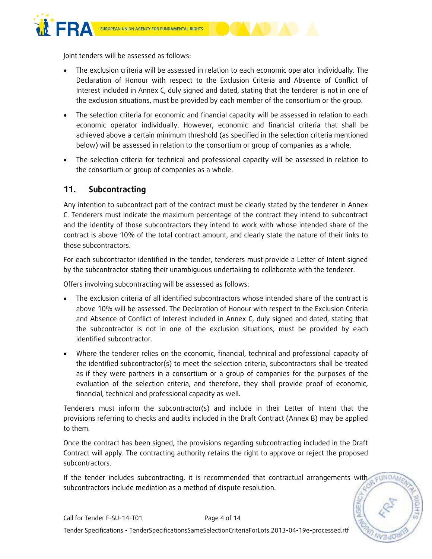

Joint tenders will be assessed as follows:

- The exclusion criteria will be assessed in relation to each economic operator individually. The Declaration of Honour with respect to the Exclusion Criteria and Absence of Conflict of Interest included in Annex C, duly signed and dated, stating that the tenderer is not in one of the exclusion situations, must be provided by each member of the consortium or the group.
- The selection criteria for economic and financial capacity will be assessed in relation to each economic operator individually. However, economic and financial criteria that shall be achieved above a certain minimum threshold (as specified in the selection criteria mentioned below) will be assessed in relation to the consortium or group of companies as a whole.
- The selection criteria for technical and professional capacity will be assessed in relation to the consortium or group of companies as a whole.

## **11. Subcontracting**

Any intention to subcontract part of the contract must be clearly stated by the tenderer in Annex C. Tenderers must indicate the maximum percentage of the contract they intend to subcontract and the identity of those subcontractors they intend to work with whose intended share of the contract is above 10% of the total contract amount, and clearly state the nature of their links to those subcontractors.

For each subcontractor identified in the tender, tenderers must provide a Letter of Intent signed by the subcontractor stating their unambiguous undertaking to collaborate with the tenderer.

Offers involving subcontracting will be assessed as follows:

- The exclusion criteria of all identified subcontractors whose intended share of the contract is above 10% will be assessed. The Declaration of Honour with respect to the Exclusion Criteria and Absence of Conflict of Interest included in Annex C, duly signed and dated, stating that the subcontractor is not in one of the exclusion situations, must be provided by each identified subcontractor.
- Where the tenderer relies on the economic, financial, technical and professional capacity of the identified subcontractor(s) to meet the selection criteria, subcontractors shall be treated as if they were partners in a consortium or a group of companies for the purposes of the evaluation of the selection criteria, and therefore, they shall provide proof of economic, financial, technical and professional capacity as well.

Tenderers must inform the subcontractor(s) and include in their Letter of Intent that the provisions referring to checks and audits included in the Draft Contract (Annex B) may be applied to them.

Once the contract has been signed, the provisions regarding subcontracting included in the Draft Contract will apply. The contracting authority retains the right to approve or reject the proposed subcontractors.

If the tender includes subcontracting, it is recommended that contractual arrangements with subcontractors include mediation as a method of dispute resolution.

EUNDA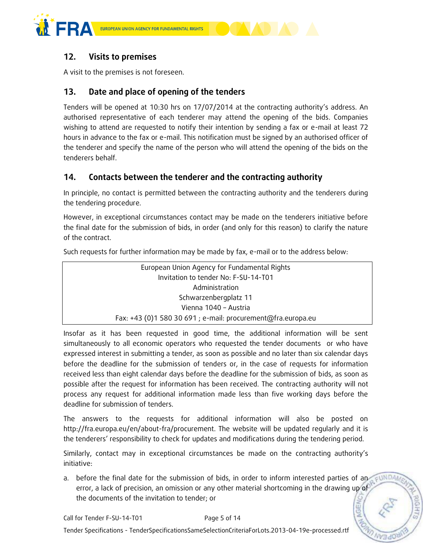



## **12. Visits to premises**

A visit to the premises is not foreseen.

## **13. Date and place of opening of the tenders**

Tenders will be opened at 10:30 hrs on 17/07/2014 at the contracting authority's address. An authorised representative of each tenderer may attend the opening of the bids. Companies wishing to attend are requested to notify their intention by sending a fax or e-mail at least 72 hours in advance to the fax or e-mail. This notification must be signed by an authorised officer of the tenderer and specify the name of the person who will attend the opening of the bids on the tenderers behalf.

## **14. Contacts between the tenderer and the contracting authority**

In principle, no contact is permitted between the contracting authority and the tenderers during the tendering procedure.

However, in exceptional circumstances contact may be made on the tenderers initiative before the final date for the submission of bids, in order (and only for this reason) to clarify the nature of the contract.

Such requests for further information may be made by fax, e-mail or to the address below:

| European Union Agency for Fundamental Rights                 |  |
|--------------------------------------------------------------|--|
| Invitation to tender No: F-SU-14-T01                         |  |
| Administration                                               |  |
| Schwarzenbergplatz 11                                        |  |
| Vienna 1040 - Austria                                        |  |
| Fax: +43 (0)1 580 30 691 ; e-mail: procurement@fra.europa.eu |  |

Insofar as it has been requested in good time, the additional information will be sent simultaneously to all economic operators who requested the tender documents or who have expressed interest in submitting a tender, as soon as possible and no later than six calendar days before the deadline for the submission of tenders or, in the case of requests for information received less than eight calendar days before the deadline for the submission of bids, as soon as possible after the request for information has been received. The contracting authority will not process any request for additional information made less than five working days before the deadline for submission of tenders.

The answers to the requests for additional information will also be posted on http://fra.europa.eu/en/about-fra/procurement. The website will be updated regularly and it is the tenderers' responsibility to check for updates and modifications during the tendering period.

Similarly, contact may in exceptional circumstances be made on the contracting authority's initiative:

a. before the final date for the submission of bids, in order to inform interested parties of an EUNDAI error, a lack of precision, an omission or any other material shortcoming in the drawing up of the documents of the invitation to tender; or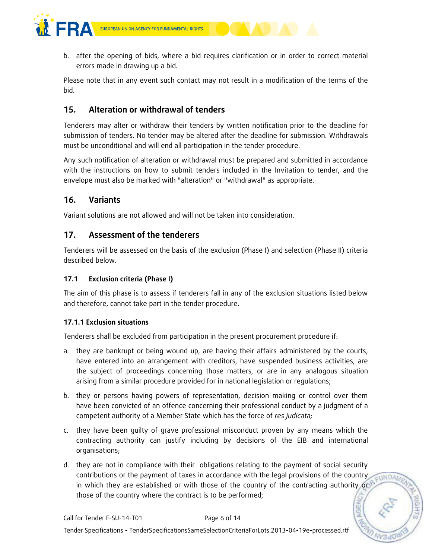



Please note that in any event such contact may not result in a modification of the terms of the bid.

## **15. Alteration or withdrawal of tenders**

Tenderers may alter or withdraw their tenders by written notification prior to the deadline for submission of tenders. No tender may be altered after the deadline for submission. Withdrawals must be unconditional and will end all participation in the tender procedure.

Any such notification of alteration or withdrawal must be prepared and submitted in accordance with the instructions on how to submit tenders included in the Invitation to tender, and the envelope must also be marked with "alteration" or "withdrawal" as appropriate.

## **16. Variants**

Variant solutions are not allowed and will not be taken into consideration.

### **17. Assessment of the tenderers**

Tenderers will be assessed on the basis of the exclusion (Phase I) and selection (Phase II) criteria described below.

#### **17.1 Exclusion criteria (Phase I)**

The aim of this phase is to assess if tenderers fall in any of the exclusion situations listed below and therefore, cannot take part in the tender procedure.

#### **17.1.1 Exclusion situations**

Tenderers shall be excluded from participation in the present procurement procedure if:

- a. they are bankrupt or being wound up, are having their affairs administered by the courts, have entered into an arrangement with creditors, have suspended business activities, are the subject of proceedings concerning those matters, or are in any analogous situation arising from a similar procedure provided for in national legislation or regulations;
- b. they or persons having powers of representation, decision making or control over them have been convicted of an offence concerning their professional conduct by a judgment of a competent authority of a Member State which has the force of *res judicata;*
- c. they have been guilty of grave professional misconduct proven by any means which the contracting authority can justify including by decisions of the EIB and international organisations;
- d. they are not in compliance with their obligations relating to the payment of social security contributions or the payment of taxes in accordance with the legal provisions of the country EUNDAM in which they are established or with those of the country of the contracting authority or those of the country where the contract is to be performed;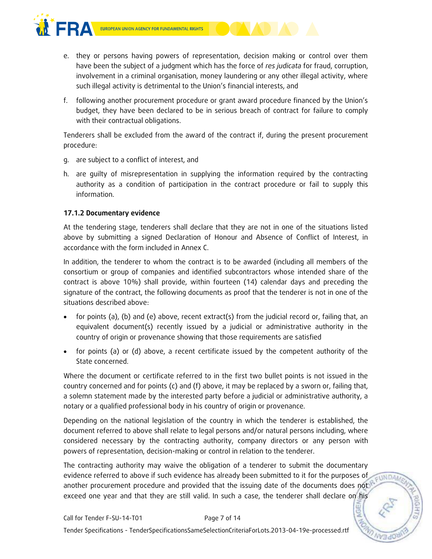



- e. they or persons having powers of representation, decision making or control over them have been the subject of a judgment which has the force of *res judicata* for fraud, corruption, involvement in a criminal organisation, money laundering or any other illegal activity, where such illegal activity is detrimental to the Union's financial interests, and
- f. following another procurement procedure or grant award procedure financed by the Union's budget, they have been declared to be in serious breach of contract for failure to comply with their contractual obligations.

Tenderers shall be excluded from the award of the contract if, during the present procurement procedure:

- g. are subject to a conflict of interest, and
- h. are guilty of misrepresentation in supplying the information required by the contracting authority as a condition of participation in the contract procedure or fail to supply this information.

#### **17.1.2 Documentary evidence**

At the tendering stage, tenderers shall declare that they are not in one of the situations listed above by submitting a signed Declaration of Honour and Absence of Conflict of Interest, in accordance with the form included in Annex C.

In addition, the tenderer to whom the contract is to be awarded (including all members of the consortium or group of companies and identified subcontractors whose intended share of the contract is above 10%) shall provide, within fourteen (14) calendar days and preceding the signature of the contract, the following documents as proof that the tenderer is not in one of the situations described above:

- for points (a), (b) and (e) above, recent extract(s) from the judicial record or, failing that, an equivalent document(s) recently issued by a judicial or administrative authority in the country of origin or provenance showing that those requirements are satisfied
- for points (a) or (d) above, a recent certificate issued by the competent authority of the State concerned.

Where the document or certificate referred to in the first two bullet points is not issued in the country concerned and for points (c) and (f) above, it may be replaced by a sworn or, failing that, a solemn statement made by the interested party before a judicial or administrative authority, a notary or a qualified professional body in his country of origin or provenance.

Depending on the national legislation of the country in which the tenderer is established, the document referred to above shall relate to legal persons and/or natural persons including, where considered necessary by the contracting authority, company directors or any person with powers of representation, decision-making or control in relation to the tenderer.

The contracting authority may waive the obligation of a tenderer to submit the documentary evidence referred to above if such evidence has already been submitted to it for the purposes of **EUNDAM** another procurement procedure and provided that the issuing date of the documents does not exceed one year and that they are still valid. In such a case, the tenderer shall declare on his

**AGE**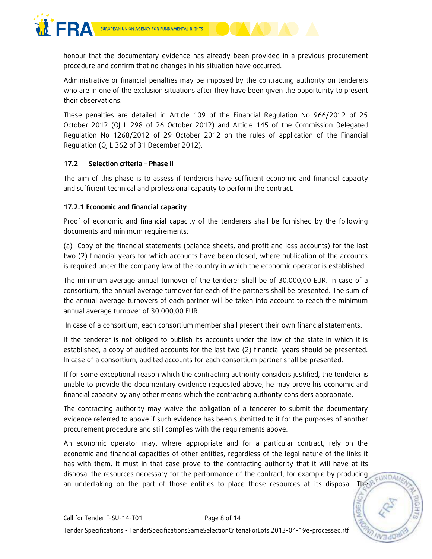

honour that the documentary evidence has already been provided in a previous procurement procedure and confirm that no changes in his situation have occurred.

Administrative or financial penalties may be imposed by the contracting authority on tenderers who are in one of the exclusion situations after they have been given the opportunity to present their observations.

These penalties are detailed in Article 109 of the Financial Regulation No 966/2012 of 25 October 2012 (OJ L 298 of 26 October 2012) and Article 145 of the Commission Delegated Regulation No 1268/2012 of 29 October 2012 on the rules of application of the Financial Regulation (OJ L 362 of 31 December 2012).

#### **17.2 Selection criteria – Phase II**

The aim of this phase is to assess if tenderers have sufficient economic and financial capacity and sufficient technical and professional capacity to perform the contract.

#### **17.2.1 Economic and financial capacity**

Proof of economic and financial capacity of the tenderers shall be furnished by the following documents and minimum requirements:

(a) Copy of the financial statements (balance sheets, and profit and loss accounts) for the last two (2) financial years for which accounts have been closed, where publication of the accounts is required under the company law of the country in which the economic operator is established.

The minimum average annual turnover of the tenderer shall be of 30.000,00 EUR. In case of a consortium, the annual average turnover for each of the partners shall be presented. The sum of the annual average turnovers of each partner will be taken into account to reach the minimum annual average turnover of 30.000,00 EUR.

In case of a consortium, each consortium member shall present their own financial statements.

If the tenderer is not obliged to publish its accounts under the law of the state in which it is established, a copy of audited accounts for the last two (2) financial years should be presented. In case of a consortium, audited accounts for each consortium partner shall be presented.

If for some exceptional reason which the contracting authority considers justified, the tenderer is unable to provide the documentary evidence requested above, he may prove his economic and financial capacity by any other means which the contracting authority considers appropriate.

The contracting authority may waive the obligation of a tenderer to submit the documentary evidence referred to above if such evidence has been submitted to it for the purposes of another procurement procedure and still complies with the requirements above.

An economic operator may, where appropriate and for a particular contract, rely on the economic and financial capacities of other entities, regardless of the legal nature of the links it has with them. It must in that case prove to the contracting authority that it will have at its disposal the resources necessary for the performance of the contract, for example by producing an undertaking on the part of those entities to place those resources at its disposal. The

**EUNDAM**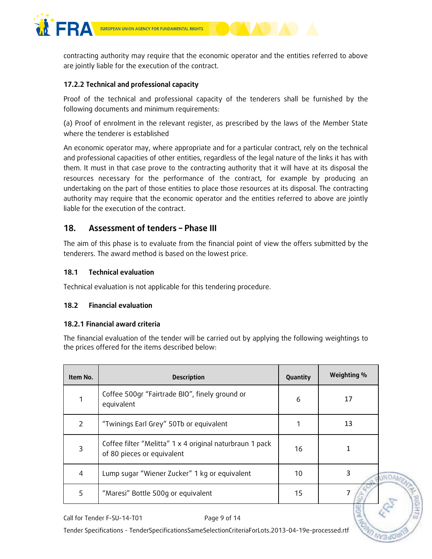

contracting authority may require that the economic operator and the entities referred to above are jointly liable for the execution of the contract.

#### **17.2.2 Technical and professional capacity**

Proof of the technical and professional capacity of the tenderers shall be furnished by the following documents and minimum requirements:

(a) Proof of enrolment in the relevant register, as prescribed by the laws of the Member State where the tenderer is established

An economic operator may, where appropriate and for a particular contract, rely on the technical and professional capacities of other entities, regardless of the legal nature of the links it has with them. It must in that case prove to the contracting authority that it will have at its disposal the resources necessary for the performance of the contract, for example by producing an undertaking on the part of those entities to place those resources at its disposal. The contracting authority may require that the economic operator and the entities referred to above are jointly liable for the execution of the contract.

#### **18. Assessment of tenders – Phase III**

The aim of this phase is to evaluate from the financial point of view the offers submitted by the tenderers. The award method is based on the lowest price.

#### **18.1 Technical evaluation**

Technical evaluation is not applicable for this tendering procedure.

#### **18.2 Financial evaluation**

#### **18.2.1 Financial award criteria**

The financial evaluation of the tender will be carried out by applying the following weightings to the prices offered for the items described below:

| Item No.      | <b>Description</b>                                                                     | Quantity | Weighting % |  |
|---------------|----------------------------------------------------------------------------------------|----------|-------------|--|
|               | Coffee 500gr "Fairtrade BIO", finely ground or<br>equivalent                           | 6        | 17          |  |
| $\mathcal{P}$ | "Twinings Earl Grey" 50Tb or equivalent                                                |          | 13          |  |
| 3             | Coffee filter "Melitta" 1 x 4 original naturbraun 1 pack<br>of 80 pieces or equivalent | 16       |             |  |
| 4             | Lump sugar "Wiener Zucker" 1 kg or equivalent                                          | 10       | 3           |  |
| 5             | "Maresi" Bottle 500g or equivalent                                                     | 15       |             |  |

Call for Tender F-SU-14-T01 Page 9 of 14

Tender Specifications - TenderSpecificationsSameSelectionCriteriaForLots.2013-04-19e-processed.rtf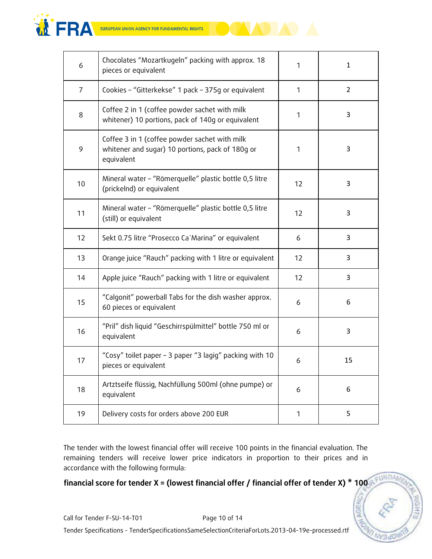

| 6              | Chocolates "Mozartkugeln" packing with approx. 18<br>pieces or equivalent                                       | 1            | 1              |
|----------------|-----------------------------------------------------------------------------------------------------------------|--------------|----------------|
| $\overline{7}$ | Cookies - "Gitterkekse" 1 pack - 375g or equivalent                                                             | $\mathbf{1}$ | $\overline{2}$ |
| 8              | Coffee 2 in 1 (coffee powder sachet with milk<br>whitener) 10 portions, pack of 140g or equivalent              | 1            | 3              |
| 9              | Coffee 3 in 1 (coffee powder sachet with milk<br>whitener and sugar) 10 portions, pack of 180g or<br>equivalent | 1            | 3              |
| 10             | Mineral water - "Römerquelle" plastic bottle 0,5 litre<br>(prickelnd) or equivalent                             | 12           | 3              |
| 11             | Mineral water - "Römerquelle" plastic bottle 0,5 litre<br>(still) or equivalent                                 | 12           | 3              |
| 12             | Sekt 0.75 litre "Prosecco Ca' Marina" or equivalent                                                             | 6            | 3              |
| 13             | Orange juice "Rauch" packing with 1 litre or equivalent                                                         | 12           | 3              |
| 14             | Apple juice "Rauch" packing with 1 litre or equivalent                                                          | 12           | 3              |
| 15             | "Calgonit" powerball Tabs for the dish washer approx.<br>60 pieces or equivalent                                | 6            | 6              |
| 16             | "Pril" dish liquid "Geschirrspülmittel" bottle 750 ml or<br>equivalent                                          | 6            | 3              |
| 17             | "Cosy" toilet paper - 3 paper "3 lagig" packing with 10<br>pieces or equivalent                                 | 6            | 15             |
| 18             | Artztseife flüssig, Nachfüllung 500ml (ohne pumpe) or<br>equivalent                                             | 6            | 6              |
| 19             | Delivery costs for orders above 200 EUR                                                                         | $\mathbf 1$  | 5              |

The tender with the lowest financial offer will receive 100 points in the financial evaluation. The remaining tenders will receive lower price indicators in proportion to their prices and in accordance with the following formula:

INDA.

AGENCL

## **financial score for tender X = (lowest financial offer / financial offer of tender X) \* 100**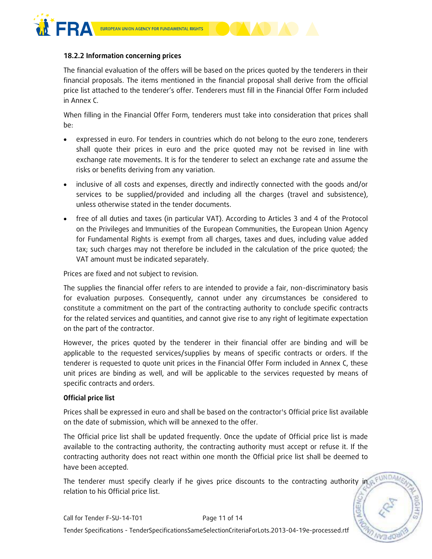

#### **18.2.2 Information concerning prices**

The financial evaluation of the offers will be based on the prices quoted by the tenderers in their financial proposals. The items mentioned in the financial proposal shall derive from the official price list attached to the tenderer's offer. Tenderers must fill in the Financial Offer Form included in Annex C.

When filling in the Financial Offer Form, tenderers must take into consideration that prices shall be:

- expressed in euro. For tenders in countries which do not belong to the euro zone, tenderers shall quote their prices in euro and the price quoted may not be revised in line with exchange rate movements. It is for the tenderer to select an exchange rate and assume the risks or benefits deriving from any variation.
- inclusive of all costs and expenses, directly and indirectly connected with the goods and/or services to be supplied/provided and including all the charges (travel and subsistence), unless otherwise stated in the tender documents.
- free of all duties and taxes (in particular VAT). According to Articles 3 and 4 of the Protocol on the Privileges and Immunities of the European Communities, the European Union Agency for Fundamental Rights is exempt from all charges, taxes and dues, including value added tax; such charges may not therefore be included in the calculation of the price quoted; the VAT amount must be indicated separately.

Prices are fixed and not subject to revision.

The supplies the financial offer refers to are intended to provide a fair, non-discriminatory basis for evaluation purposes. Consequently, cannot under any circumstances be considered to constitute a commitment on the part of the contracting authority to conclude specific contracts for the related services and quantities, and cannot give rise to any right of legitimate expectation on the part of the contractor.

However, the prices quoted by the tenderer in their financial offer are binding and will be applicable to the requested services/supplies by means of specific contracts or orders. If the tenderer is requested to quote unit prices in the Financial Offer Form included in Annex C, these unit prices are binding as well, and will be applicable to the services requested by means of specific contracts and orders.

#### **Official price list**

Prices shall be expressed in euro and shall be based on the contractor's Official price list available on the date of submission, which will be annexed to the offer.

The Official price list shall be updated frequently. Once the update of Official price list is made available to the contracting authority, the contracting authority must accept or refuse it. If the contracting authority does not react within one month the Official price list shall be deemed to have been accepted.

The tenderer must specify clearly if he gives price discounts to the contracting authority in relation to his Official price list.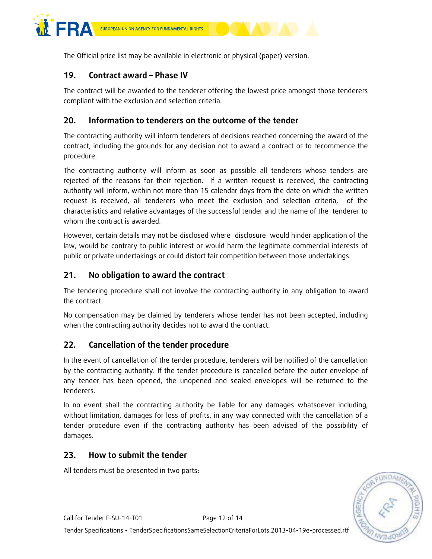

The Official price list may be available in electronic or physical (paper) version.

## **19. Contract award – Phase IV**

The contract will be awarded to the tenderer offering the lowest price amongst those tenderers compliant with the exclusion and selection criteria.

## **20. Information to tenderers on the outcome of the tender**

The contracting authority will inform tenderers of decisions reached concerning the award of the contract, including the grounds for any decision not to award a contract or to recommence the procedure.

The contracting authority will inform as soon as possible all tenderers whose tenders are rejected of the reasons for their rejection. If a written request is received, the contracting authority will inform, within not more than 15 calendar days from the date on which the written request is received, all tenderers who meet the exclusion and selection criteria, of the characteristics and relative advantages of the successful tender and the name of the tenderer to whom the contract is awarded.

However, certain details may not be disclosed where disclosure would hinder application of the law, would be contrary to public interest or would harm the legitimate commercial interests of public or private undertakings or could distort fair competition between those undertakings.

## **21. No obligation to award the contract**

The tendering procedure shall not involve the contracting authority in any obligation to award the contract.

No compensation may be claimed by tenderers whose tender has not been accepted, including when the contracting authority decides not to award the contract.

### **22. Cancellation of the tender procedure**

In the event of cancellation of the tender procedure, tenderers will be notified of the cancellation by the contracting authority. If the tender procedure is cancelled before the outer envelope of any tender has been opened, the unopened and sealed envelopes will be returned to the tenderers.

In no event shall the contracting authority be liable for any damages whatsoever including, without limitation, damages for loss of profits, in any way connected with the cancellation of a tender procedure even if the contracting authority has been advised of the possibility of damages.

### **23. How to submit the tender**

All tenders must be presented in two parts:

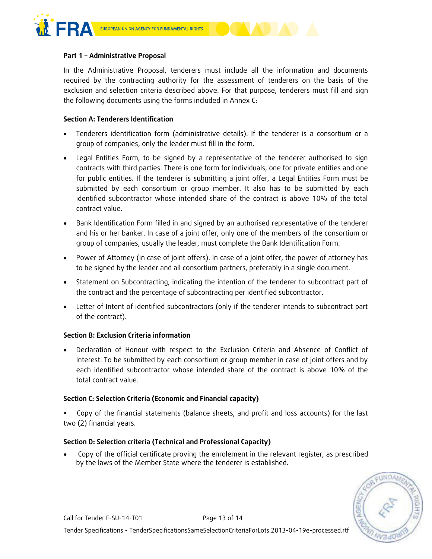

#### **Part 1 – Administrative Proposal**

In the Administrative Proposal, tenderers must include all the information and documents required by the contracting authority for the assessment of tenderers on the basis of the exclusion and selection criteria described above. For that purpose, tenderers must fill and sign the following documents using the forms included in Annex C:

#### **Section A: Tenderers Identification**

- Tenderers identification form (administrative details). If the tenderer is a consortium or a group of companies, only the leader must fill in the form.
- Legal Entities Form, to be signed by a representative of the tenderer authorised to sign contracts with third parties. There is one form for individuals, one for private entities and one for public entities. If the tenderer is submitting a joint offer, a Legal Entities Form must be submitted by each consortium or group member. It also has to be submitted by each identified subcontractor whose intended share of the contract is above 10% of the total contract value.
- Bank Identification Form filled in and signed by an authorised representative of the tenderer and his or her banker. In case of a joint offer, only one of the members of the consortium or group of companies, usually the leader, must complete the Bank Identification Form.
- Power of Attorney (in case of joint offers). In case of a joint offer, the power of attorney has to be signed by the leader and all consortium partners, preferably in a single document.
- Statement on Subcontracting, indicating the intention of the tenderer to subcontract part of the contract and the percentage of subcontracting per identified subcontractor.
- Letter of Intent of identified subcontractors (only if the tenderer intends to subcontract part of the contract).

#### **Section B: Exclusion Criteria information**

 Declaration of Honour with respect to the Exclusion Criteria and Absence of Conflict of Interest. To be submitted by each consortium or group member in case of joint offers and by each identified subcontractor whose intended share of the contract is above 10% of the total contract value.

#### **Section C: Selection Criteria (Economic and Financial capacity)**

 Copy of the financial statements (balance sheets, and profit and loss accounts) for the last two (2) financial years.

#### **Section D: Selection criteria (Technical and Professional Capacity)**

 Copy of the official certificate proving the enrolement in the relevant register, as prescribed by the laws of the Member State where the tenderer is established.